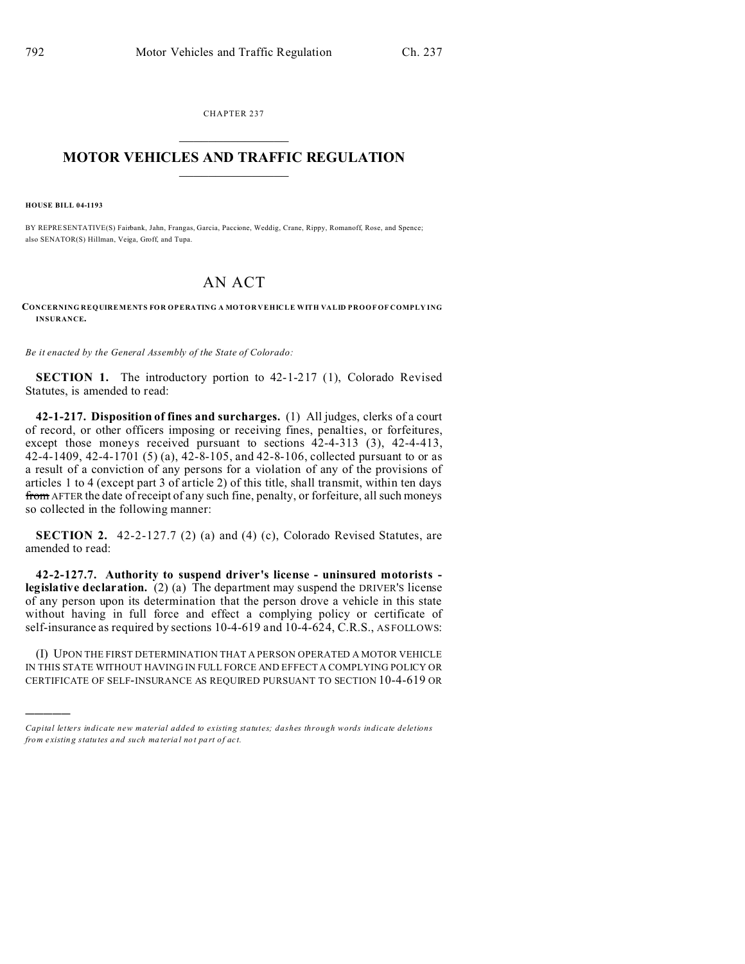CHAPTER 237  $\overline{\phantom{a}}$  , where  $\overline{\phantom{a}}$ 

## **MOTOR VEHICLES AND TRAFFIC REGULATION**  $\frac{1}{2}$  ,  $\frac{1}{2}$  ,  $\frac{1}{2}$  ,  $\frac{1}{2}$  ,  $\frac{1}{2}$  ,  $\frac{1}{2}$  ,  $\frac{1}{2}$

**HOUSE BILL 04-1193**

)))))

BY REPRESENTATIVE(S) Fairbank, Jahn, Frangas, Garcia, Paccione, Weddig, Crane, Rippy, Romanoff, Rose, and Spence; also SENATOR(S) Hillman, Veiga, Groff, and Tupa.

## AN ACT

## **CONCERNING REQUIREMENTS FOR OPERATING A MOTOR VEHICLE WITH VALID PROOF OF COMPLY ING INSURANCE.**

*Be it enacted by the General Assembly of the State of Colorado:*

**SECTION 1.** The introductory portion to 42-1-217 (1), Colorado Revised Statutes, is amended to read:

**42-1-217. Disposition of fines and surcharges.** (1) All judges, clerks of a court of record, or other officers imposing or receiving fines, penalties, or forfeitures, except those moneys received pursuant to sections  $42-4-313$  (3),  $42-4-413$ , 42-4-1409, 42-4-1701 (5) (a), 42-8-105, and 42-8-106, collected pursuant to or as a result of a conviction of any persons for a violation of any of the provisions of articles 1 to 4 (except part 3 of article 2) of this title, shall transmit, within ten days from AFTER the date of receipt of any such fine, penalty, or forfeiture, all such moneys so collected in the following manner:

**SECTION 2.** 42-2-127.7 (2) (a) and (4) (c), Colorado Revised Statutes, are amended to read:

**42-2-127.7. Authority to suspend driver's license - uninsured motorists legislative declaration.** (2) (a) The department may suspend the DRIVER'S license of any person upon its determination that the person drove a vehicle in this state without having in full force and effect a complying policy or certificate of self-insurance as required by sections 10-4-619 and 10-4-624, C.R.S., AS FOLLOWS:

(I) UPON THE FIRST DETERMINATION THAT A PERSON OPERATED A MOTOR VEHICLE IN THIS STATE WITHOUT HAVING IN FULL FORCE AND EFFECT A COMPLYING POLICY OR CERTIFICATE OF SELF-INSURANCE AS REQUIRED PURSUANT TO SECTION 10-4-619 OR

*Capital letters indicate new material added to existing statutes; dashes through words indicate deletions from e xistin g statu tes a nd such ma teria l no t pa rt of ac t.*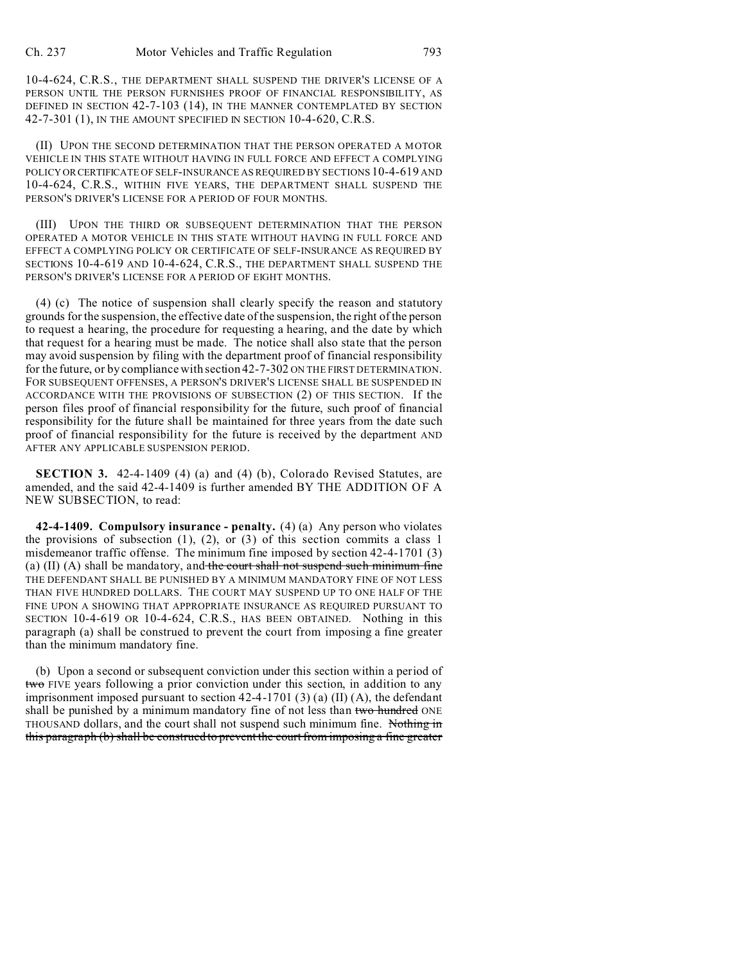10-4-624, C.R.S., THE DEPARTMENT SHALL SUSPEND THE DRIVER'S LICENSE OF A PERSON UNTIL THE PERSON FURNISHES PROOF OF FINANCIAL RESPONSIBILITY, AS DEFINED IN SECTION 42-7-103 (14), IN THE MANNER CONTEMPLATED BY SECTION 42-7-301 (1), IN THE AMOUNT SPECIFIED IN SECTION 10-4-620, C.R.S.

(II) UPON THE SECOND DETERMINATION THAT THE PERSON OPERATED A MOTOR VEHICLE IN THIS STATE WITHOUT HAVING IN FULL FORCE AND EFFECT A COMPLYING POLICY ORCERTIFICATE OF SELF-INSURANCE AS REQUIRED BY SECTIONS 10-4-619 AND 10-4-624, C.R.S., WITHIN FIVE YEARS, THE DEPARTMENT SHALL SUSPEND THE PERSON'S DRIVER'S LICENSE FOR A PERIOD OF FOUR MONTHS.

(III) UPON THE THIRD OR SUBSEQUENT DETERMINATION THAT THE PERSON OPERATED A MOTOR VEHICLE IN THIS STATE WITHOUT HAVING IN FULL FORCE AND EFFECT A COMPLYING POLICY OR CERTIFICATE OF SELF-INSURANCE AS REQUIRED BY SECTIONS 10-4-619 AND 10-4-624, C.R.S., THE DEPARTMENT SHALL SUSPEND THE PERSON'S DRIVER'S LICENSE FOR A PERIOD OF EIGHT MONTHS.

(4) (c) The notice of suspension shall clearly specify the reason and statutory grounds for the suspension, the effective date of the suspension, the right of the person to request a hearing, the procedure for requesting a hearing, and the date by which that request for a hearing must be made. The notice shall also state that the person may avoid suspension by filing with the department proof of financial responsibility for the future, or by compliance with section 42-7-302 ON THE FIRST DETERMINATION. FOR SUBSEQUENT OFFENSES, A PERSON'S DRIVER'S LICENSE SHALL BE SUSPENDED IN ACCORDANCE WITH THE PROVISIONS OF SUBSECTION (2) OF THIS SECTION. If the person files proof of financial responsibility for the future, such proof of financial responsibility for the future shall be maintained for three years from the date such proof of financial responsibility for the future is received by the department AND AFTER ANY APPLICABLE SUSPENSION PERIOD.

**SECTION 3.** 42-4-1409 (4) (a) and (4) (b), Colorado Revised Statutes, are amended, and the said 42-4-1409 is further amended BY THE ADDITION OF A NEW SUBSECTION, to read:

**42-4-1409. Compulsory insurance - penalty.** (4) (a) Any person who violates the provisions of subsection  $(1)$ ,  $(2)$ , or  $(3)$  of this section commits a class 1 misdemeanor traffic offense. The minimum fine imposed by section 42-4-1701 (3) (a) (II) (A) shall be mandatory, and the court shall not suspend such minimum fine THE DEFENDANT SHALL BE PUNISHED BY A MINIMUM MANDATORY FINE OF NOT LESS THAN FIVE HUNDRED DOLLARS. THE COURT MAY SUSPEND UP TO ONE HALF OF THE FINE UPON A SHOWING THAT APPROPRIATE INSURANCE AS REQUIRED PURSUANT TO SECTION 10-4-619 OR 10-4-624, C.R.S., HAS BEEN OBTAINED. Nothing in this paragraph (a) shall be construed to prevent the court from imposing a fine greater than the minimum mandatory fine.

(b) Upon a second or subsequent conviction under this section within a period of two FIVE years following a prior conviction under this section, in addition to any imprisonment imposed pursuant to section 42-4-1701 (3) (a) (II) (A), the defendant shall be punished by a minimum mandatory fine of not less than two hundred ONE THOUSAND dollars, and the court shall not suspend such minimum fine. Nothing in this paragraph (b) shall be construed to prevent the court from imposing a fine greater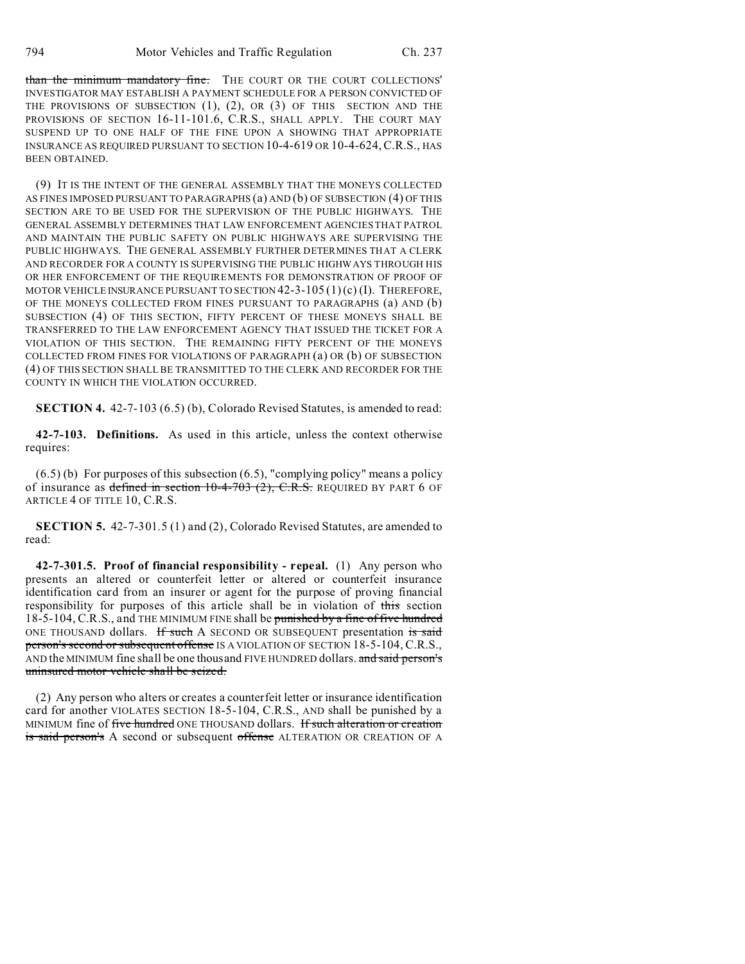than the minimum mandatory fine. THE COURT OR THE COURT COLLECTIONS' INVESTIGATOR MAY ESTABLISH A PAYMENT SCHEDULE FOR A PERSON CONVICTED OF THE PROVISIONS OF SUBSECTION (1), (2), OR (3) OF THIS SECTION AND THE PROVISIONS OF SECTION 16-11-101.6, C.R.S., SHALL APPLY. THE COURT MAY SUSPEND UP TO ONE HALF OF THE FINE UPON A SHOWING THAT APPROPRIATE INSURANCE AS REQUIRED PURSUANT TO SECTION 10-4-619 OR 10-4-624,C.R.S., HAS BEEN OBTAINED.

(9) IT IS THE INTENT OF THE GENERAL ASSEMBLY THAT THE MONEYS COLLECTED AS FINES IMPOSED PURSUANT TO PARAGRAPHS (a) AND (b) OF SUBSECTION (4) OF THIS SECTION ARE TO BE USED FOR THE SUPERVISION OF THE PUBLIC HIGHWAYS. THE GENERAL ASSEMBLY DETERMINES THAT LAW ENFORCEMENT AGENCIES THAT PATROL AND MAINTAIN THE PUBLIC SAFETY ON PUBLIC HIGHWAYS ARE SUPERVISING THE PUBLIC HIGHWAYS. THE GENERAL ASSEMBLY FURTHER DETERMINES THAT A CLERK AND RECORDER FOR A COUNTY IS SUPERVISING THE PUBLIC HIGHWAYS THROUGH HIS OR HER ENFORCEMENT OF THE REQUIREMENTS FOR DEMONSTRATION OF PROOF OF MOTOR VEHICLE INSURANCE PURSUANT TO SECTION  $42-3-105(1)(c)$  (I). THEREFORE, OF THE MONEYS COLLECTED FROM FINES PURSUANT TO PARAGRAPHS (a) AND (b) SUBSECTION (4) OF THIS SECTION, FIFTY PERCENT OF THESE MONEYS SHALL BE TRANSFERRED TO THE LAW ENFORCEMENT AGENCY THAT ISSUED THE TICKET FOR A VIOLATION OF THIS SECTION. THE REMAINING FIFTY PERCENT OF THE MONEYS COLLECTED FROM FINES FOR VIOLATIONS OF PARAGRAPH (a) OR (b) OF SUBSECTION (4) OF THIS SECTION SHALL BE TRANSMITTED TO THE CLERK AND RECORDER FOR THE COUNTY IN WHICH THE VIOLATION OCCURRED.

**SECTION 4.** 42-7-103 (6.5) (b), Colorado Revised Statutes, is amended to read:

**42-7-103. Definitions.** As used in this article, unless the context otherwise requires:

(6.5) (b) For purposes of this subsection (6.5), "complying policy" means a policy of insurance as defined in section  $10-4-703$  (2), C.R.S. REQUIRED BY PART 6 OF ARTICLE 4 OF TITLE 10, C.R.S.

**SECTION 5.** 42-7-301.5 (1) and (2), Colorado Revised Statutes, are amended to read:

**42-7-301.5. Proof of financial responsibility - repeal.** (1) Any person who presents an altered or counterfeit letter or altered or counterfeit insurance identification card from an insurer or agent for the purpose of proving financial responsibility for purposes of this article shall be in violation of this section 18-5-104, C.R.S., and THE MINIMUM FINE shall be punished by a fine of five hundred ONE THOUSAND dollars. If such A SECOND OR SUBSEQUENT presentation is said person's second or subsequent offense IS A VIOLATION OF SECTION 18-5-104, C.R.S., AND the MINIMUM fine shall be one thousand FIVE HUNDRED dollars. and said person's uninsured motor vehicle shall be seized.

(2) Any person who alters or creates a counterfeit letter or insurance identification card for another VIOLATES SECTION 18-5-104, C.R.S., AND shall be punished by a MINIMUM fine of five hundred ONE THOUSAND dollars. If such alteration or creation is said person's A second or subsequent offense ALTERATION OR CREATION OF A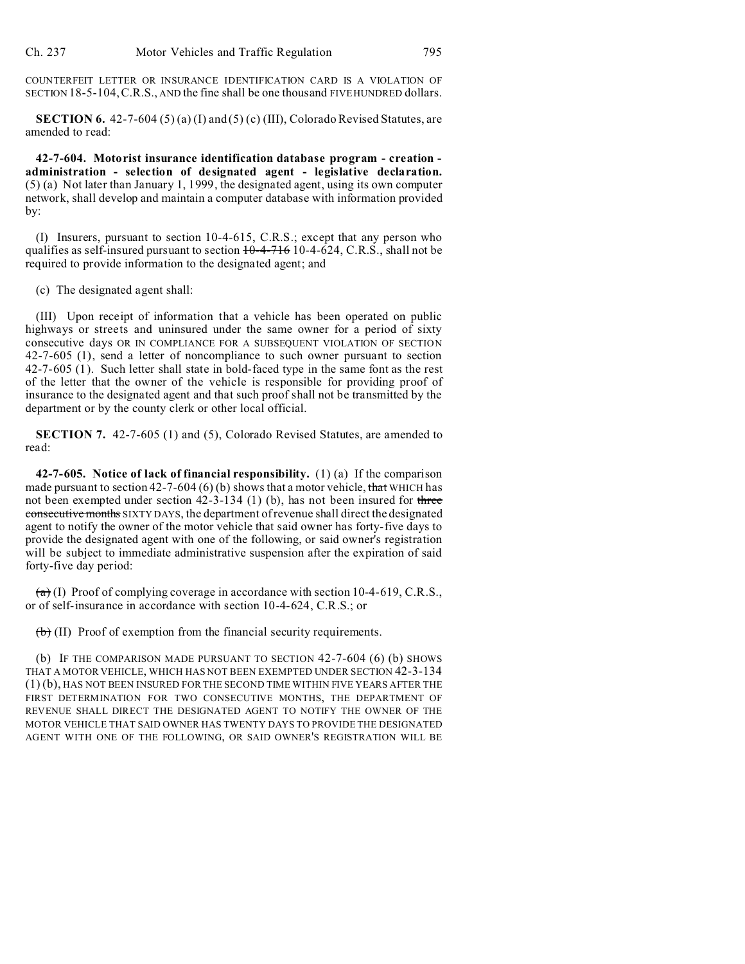COUNTERFEIT LETTER OR INSURANCE IDENTIFICATION CARD IS A VIOLATION OF SECTION 18-5-104,C.R.S., AND the fine shall be one thousand FIVE HUNDRED dollars.

**SECTION 6.** 42-7-604 (5) (a) (I) and (5) (c) (III), Colorado Revised Statutes, are amended to read:

**42-7-604. Motorist insurance identification database program - creation administration - selection of designated agent - legislative declaration.** (5) (a) Not later than January 1, 1999, the designated agent, using its own computer network, shall develop and maintain a computer database with information provided by:

(I) Insurers, pursuant to section 10-4-615, C.R.S.; except that any person who qualifies as self-insured pursuant to section  $10-4-716$  10-4-624, C.R.S., shall not be required to provide information to the designated agent; and

(c) The designated agent shall:

(III) Upon receipt of information that a vehicle has been operated on public highways or streets and uninsured under the same owner for a period of sixty consecutive days OR IN COMPLIANCE FOR A SUBSEQUENT VIOLATION OF SECTION 42-7-605 (1), send a letter of noncompliance to such owner pursuant to section 42-7-605 (1). Such letter shall state in bold-faced type in the same font as the rest of the letter that the owner of the vehicle is responsible for providing proof of insurance to the designated agent and that such proof shall not be transmitted by the department or by the county clerk or other local official.

**SECTION 7.** 42-7-605 (1) and (5), Colorado Revised Statutes, are amended to read:

**42-7-605. Notice of lack of financial responsibility.** (1) (a) If the comparison made pursuant to section 42-7-604 (6) (b) shows that a motor vehicle, that WHICH has not been exempted under section 42-3-134 (1) (b), has not been insured for three consecutive months SIXTY DAYS, the department of revenue shall direct the designated agent to notify the owner of the motor vehicle that said owner has forty-five days to provide the designated agent with one of the following, or said owner's registration will be subject to immediate administrative suspension after the expiration of said forty-five day period:

 $(a)$  (I) Proof of complying coverage in accordance with section 10-4-619, C.R.S., or of self-insurance in accordance with section 10-4-624, C.R.S.; or

 $(b)$  (II) Proof of exemption from the financial security requirements.

(b) IF THE COMPARISON MADE PURSUANT TO SECTION 42-7-604 (6) (b) SHOWS THAT A MOTOR VEHICLE, WHICH HAS NOT BEEN EXEMPTED UNDER SECTION 42-3-134 (1) (b), HAS NOT BEEN INSURED FOR THE SECOND TIME WITHIN FIVE YEARS AFTER THE FIRST DETERMINATION FOR TWO CONSECUTIVE MONTHS, THE DEPARTMENT OF REVENUE SHALL DIRECT THE DESIGNATED AGENT TO NOTIFY THE OWNER OF THE MOTOR VEHICLE THAT SAID OWNER HAS TWENTY DAYS TO PROVIDE THE DESIGNATED AGENT WITH ONE OF THE FOLLOWING, OR SAID OWNER'S REGISTRATION WILL BE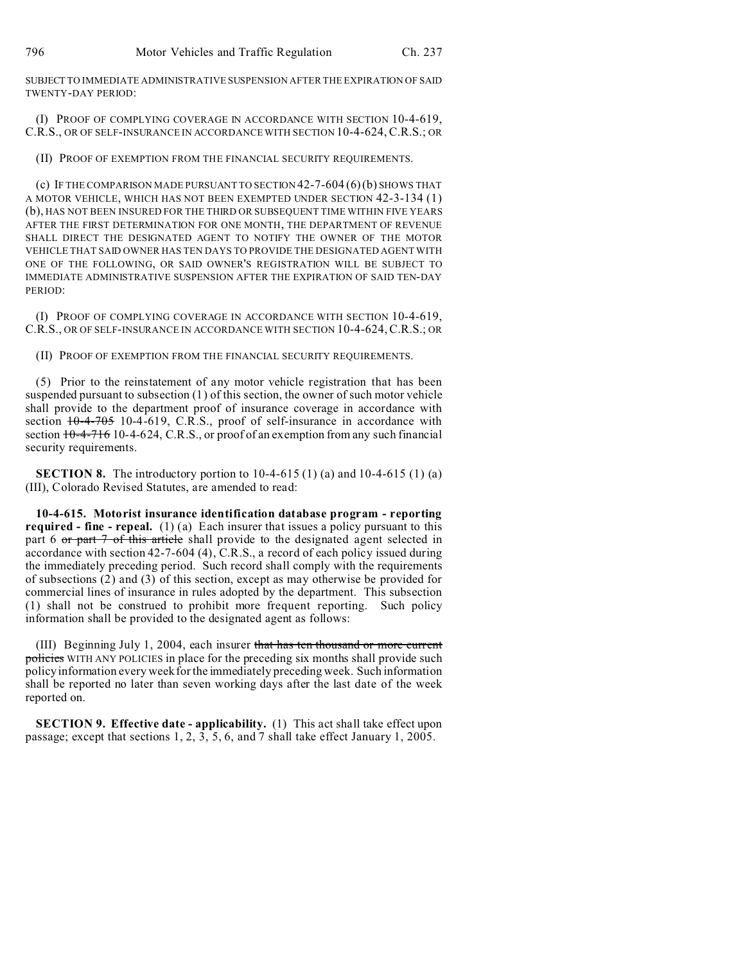SUBJECT TO IMMEDIATE ADMINISTRATIVE SUSPENSION AFTER THE EXPIRATION OF SAID TWENTY-DAY PERIOD:

(I) PROOF OF COMPLYING COVERAGE IN ACCORDANCE WITH SECTION 10-4-619, C.R.S., OR OF SELF-INSURANCE IN ACCORDANCE WITH SECTION 10-4-624, C.R.S.; OR

(II) PROOF OF EXEMPTION FROM THE FINANCIAL SECURITY REQUIREMENTS.

(c) IF THE COMPARISON MADE PURSUANT TO SECTION  $42-7-604(6)(b)$  SHOWS THAT A MOTOR VEHICLE, WHICH HAS NOT BEEN EXEMPTED UNDER SECTION 42-3-134 (1) (b), HAS NOT BEEN INSURED FOR THE THIRD OR SUBSEQUENT TIME WITHIN FIVE YEARS AFTER THE FIRST DETERMINATION FOR ONE MONTH, THE DEPARTMENT OF REVENUE SHALL DIRECT THE DESIGNATED AGENT TO NOTIFY THE OWNER OF THE MOTOR VEHICLE THAT SAID OWNER HAS TEN DAYS TO PROVIDE THE DESIGNATED AGENT WITH ONE OF THE FOLLOWING, OR SAID OWNER'S REGISTRATION WILL BE SUBJECT TO IMMEDIATE ADMINISTRATIVE SUSPENSION AFTER THE EXPIRATION OF SAID TEN-DAY PERIOD:

(I) PROOF OF COMPLYING COVERAGE IN ACCORDANCE WITH SECTION 10-4-619, C.R.S., OR OF SELF-INSURANCE IN ACCORDANCE WITH SECTION 10-4-624,C.R.S.; OR

(II) PROOF OF EXEMPTION FROM THE FINANCIAL SECURITY REQUIREMENTS.

(5) Prior to the reinstatement of any motor vehicle registration that has been suspended pursuant to subsection (1) of this section, the owner of such motor vehicle shall provide to the department proof of insurance coverage in accordance with section  $+0-4-705$  10-4-619, C.R.S., proof of self-insurance in accordance with section  $10-4-716$  10-4-624, C.R.S., or proof of an exemption from any such financial security requirements.

**SECTION 8.** The introductory portion to 10-4-615 (1) (a) and 10-4-615 (1) (a) (III), Colorado Revised Statutes, are amended to read:

**10-4-615. Motorist insurance identification database program - reporting required - fine - repeal.** (1) (a) Each insurer that issues a policy pursuant to this part 6 or part 7 of this article shall provide to the designated agent selected in accordance with section 42-7-604 (4), C.R.S., a record of each policy issued during the immediately preceding period. Such record shall comply with the requirements of subsections (2) and (3) of this section, except as may otherwise be provided for commercial lines of insurance in rules adopted by the department. This subsection (1) shall not be construed to prohibit more frequent reporting. Such policy information shall be provided to the designated agent as follows:

(III) Beginning July 1, 2004, each insurer that has ten thousand or more current policies WITH ANY POLICIES in place for the preceding six months shall provide such policy information every week for the immediately preceding week. Such information shall be reported no later than seven working days after the last date of the week reported on.

**SECTION 9. Effective date - applicability.** (1) This act shall take effect upon passage; except that sections 1, 2, 3, 5, 6, and 7 shall take effect January 1, 2005.